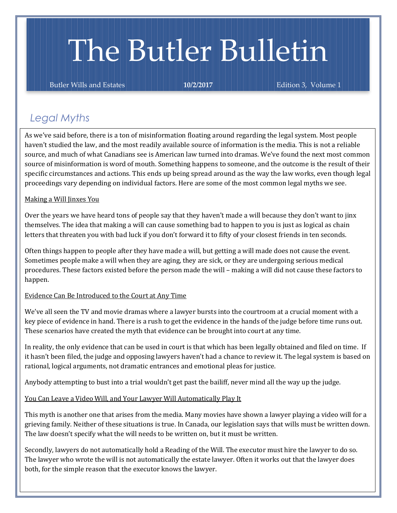# The Butler Bulletin

Butler Wills and Estates **10/2/2017** Edition 3, Volume 1

## *Legal Myths*

As we've said before, there is a ton of misinformation floating around regarding the legal system. Most people haven't studied the law, and the most readily available source of information is the media. This is not a reliable source, and much of what Canadians see is American law turned into dramas. We've found the next most common source of misinformation is word of mouth. Something happens to someone, and the outcome is the result of their specific circumstances and actions. This ends up being spread around as the way the law works, even though legal proceedings vary depending on individual factors. Here are some of the most common legal myths we see.

#### Making a Will Jinxes You

Over the years we have heard tons of people say that they haven't made a will because they don't want to jinx themselves. The idea that making a will can cause something bad to happen to you is just as logical as chain letters that threaten you with bad luck if you don't forward it to fifty of your closest friends in ten seconds.

Often things happen to people after they have made a will, but getting a will made does not cause the event. Sometimes people make a will when they are aging, they are sick, or they are undergoing serious medical procedures. These factors existed before the person made the will – making a will did not cause these factors to happen.

#### Evidence Can Be Introduced to the Court at Any Time

We've all seen the TV and movie dramas where a lawyer bursts into the courtroom at a crucial moment with a key piece of evidence in hand. There is a rush to get the evidence in the hands of the judge before time runs out. These scenarios have created the myth that evidence can be brought into court at any time.

In reality, the only evidence that can be used in court is that which has been legally obtained and filed on time. If it hasn't been filed, the judge and opposing lawyers haven't had a chance to review it. The legal system is based on rational, logical arguments, not dramatic entrances and emotional pleas for justice.

Anybody attempting to bust into a trial wouldn't get past the bailiff, never mind all the way up the judge.

#### You Can Leave a Video Will, and Your Lawyer Will Automatically Play It

This myth is another one that arises from the media. Many movies have shown a lawyer playing a video will for a grieving family. Neither of these situations is true. In Canada, our legislation says that wills must be written down. The law doesn't specify what the will needs to be written on, but it must be written.

Secondly, lawyers do not automatically hold a Reading of the Will. The executor must hire the lawyer to do so. The lawyer who wrote the will is not automatically the estate lawyer. Often it works out that the lawyer does both, for the simple reason that the executor knows the lawyer.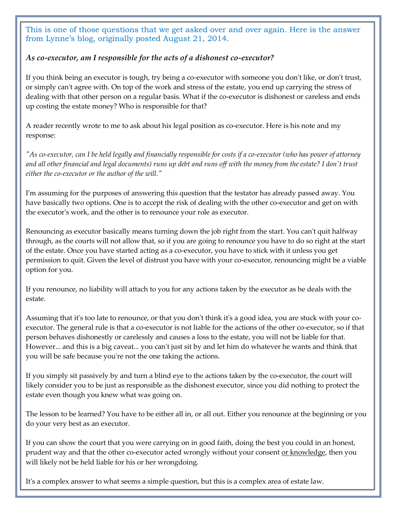This is one of those questions that we get asked over and over again. Here is the answer from Lynne's blog, originally posted August 21, 2014.

### *As co-executor, am I responsible for the acts of a dishonest co-executor?*

If you think being an executor is tough, try being a co-executor with someone you don't like, or don't trust, or simply can't agree with. On top of the work and stress of the estate, you end up carrying the stress of dealing with that other person on a regular basis. What if the co-executor is dishonest or careless and ends up costing the estate money? Who is responsible for that?

A reader recently wrote to me to ask about his legal position as co-executor. Here is his note and my response:

*"As co-executor, can I be held legally and financially responsible for costs if a co-executor (who has power of attorney and all other financial and legal documents) runs up debt and runs off with the money from the estate? I don't trust either the co-executor or the author of the will."*

I'm assuming for the purposes of answering this question that the testator has already passed away. You have basically two options. One is to accept the risk of dealing with the other co-executor and get on with the executor's work, and the other is to renounce your role as executor.

Renouncing as executor basically means turning down the job right from the start. You can't quit halfway through, as the courts will not allow that, so if you are going to renounce you have to do so right at the start of the estate. Once you have started acting as a co-executor, you have to stick with it unless you get permission to quit. Given the level of distrust you have with your co-executor, renouncing might be a viable option for you.

If you renounce, no liability will attach to you for any actions taken by the executor as he deals with the estate.

Assuming that it's too late to renounce, or that you don't think it's a good idea, you are stuck with your coexecutor. The general rule is that a co-executor is not liable for the actions of the other co-executor, so if that person behaves dishonestly or carelessly and causes a loss to the estate, you will not be liable for that. However... and this is a big caveat... you can't just sit by and let him do whatever he wants and think that you will be safe because you're not the one taking the actions.

If you simply sit passively by and turn a blind eye to the actions taken by the co-executor, the court will likely consider you to be just as responsible as the dishonest executor, since you did nothing to protect the estate even though you knew what was going on.

The lesson to be learned? You have to be either all in, or all out. Either you renounce at the beginning or you do your very best as an executor.

If you can show the court that you were carrying on in good faith, doing the best you could in an honest, prudent way and that the other co-executor acted wrongly without your consent or knowledge, then you will likely not be held liable for his or her wrongdoing.

It's a complex answer to what seems a simple question, but this is a complex area of estate law.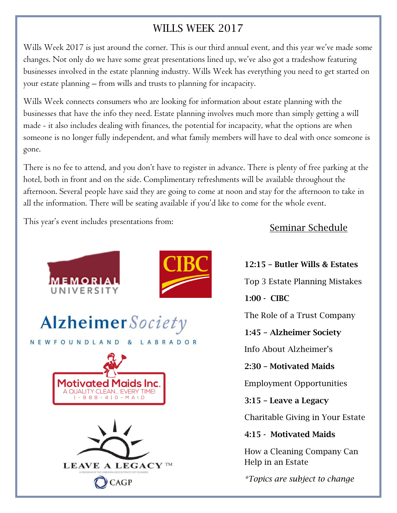# WILLS WEEK 2017

Wills Week 2017 is just around the corner. This is our third annual event, and this year we've made some changes. Not only do we have some great presentations lined up, we've also got a tradeshow featuring businesses involved in the estate planning industry. Wills Week has everything you need to get started on your estate planning – from wills and trusts to planning for incapacity.

Wills Week connects consumers who are looking for information about estate planning with the businesses that have the info they need. Estate planning involves much more than simply getting a will made - it also includes dealing with finances, the potential for incapacity, what the options are when someone is no longer fully independent, and what family members will have to deal with once someone is gone.

There is no fee to attend, and you don't have to register in advance. There is plenty of free parking at the hotel, both in front and on the side. Complimentary refreshments will be available throughout the afternoon. Several people have said they are going to come at noon and stay for the afternoon to take in all the information. There will be seating available if you'd like to come for the whole event.

This year's event includes presentations from:



Seminar Schedule

12:15 – Butler Wills & Estates

Top 3 Estate Planning Mistakes

1:00 - CIBC

The Role of a Trust Company

1:45 – Alzheimer Society

Info About Alzheimer's

2:30 – Motivated Maids

Employment Opportunities

3:15 – Leave a Legacy

Charitable Giving in Your Estate

4:15 - Motivated Maids

How a Cleaning Company Can Help in an Estate

*\*Topics are subject to change*